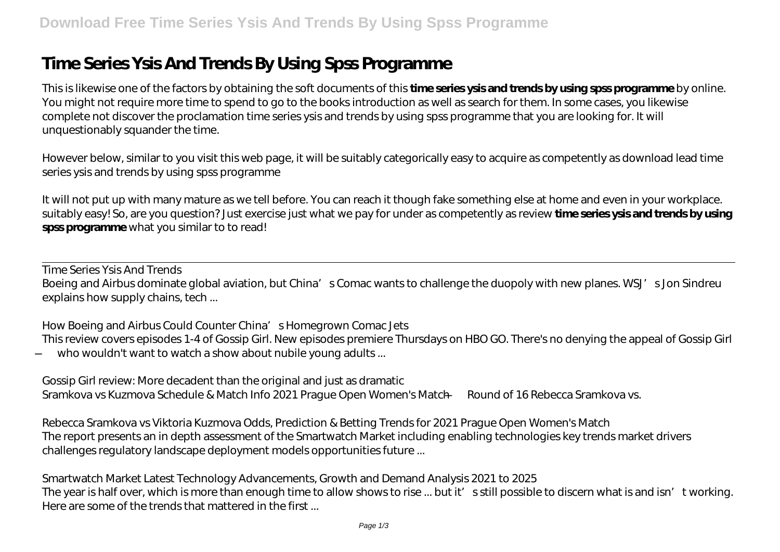# **Time Series Ysis And Trends By Using Spss Programme**

This is likewise one of the factors by obtaining the soft documents of this **time series ysis and trends by using spss programme** by online. You might not require more time to spend to go to the books introduction as well as search for them. In some cases, you likewise complete not discover the proclamation time series ysis and trends by using spss programme that you are looking for. It will unquestionably squander the time.

However below, similar to you visit this web page, it will be suitably categorically easy to acquire as competently as download lead time series ysis and trends by using spss programme

It will not put up with many mature as we tell before. You can reach it though fake something else at home and even in your workplace. suitably easy! So, are you question? Just exercise just what we pay for under as competently as review **time series ysis and trends by using spss programme** what you similar to to read!

*Time Series Ysis And Trends*

Boeing and Airbus dominate global aviation, but China's Comac wants to challenge the duopoly with new planes. WSJ's Jon Sindreu explains how supply chains, tech ...

#### *How Boeing and Airbus Could Counter China's Homegrown Comac Jets*

This review covers episodes 1-4 of Gossip Girl. New episodes premiere Thursdays on HBO GO. There's no denying the appeal of Gossip Girl — who wouldn't want to watch a show about nubile young adults ...

*Gossip Girl review: More decadent than the original and just as dramatic* Sramkova vs Kuzmova Schedule & Match Info 2021 Prague Open Women's Match — Round of 16 Rebecca Sramkova vs.

*Rebecca Sramkova vs Viktoria Kuzmova Odds, Prediction & Betting Trends for 2021 Prague Open Women's Match* The report presents an in depth assessment of the Smartwatch Market including enabling technologies key trends market drivers challenges regulatory landscape deployment models opportunities future ...

*Smartwatch Market Latest Technology Advancements, Growth and Demand Analysis 2021 to 2025* The year is half over, which is more than enough time to allow shows to rise ... but it' s still possible to discern what is and isn' t working. Here are some of the trends that mattered in the first ...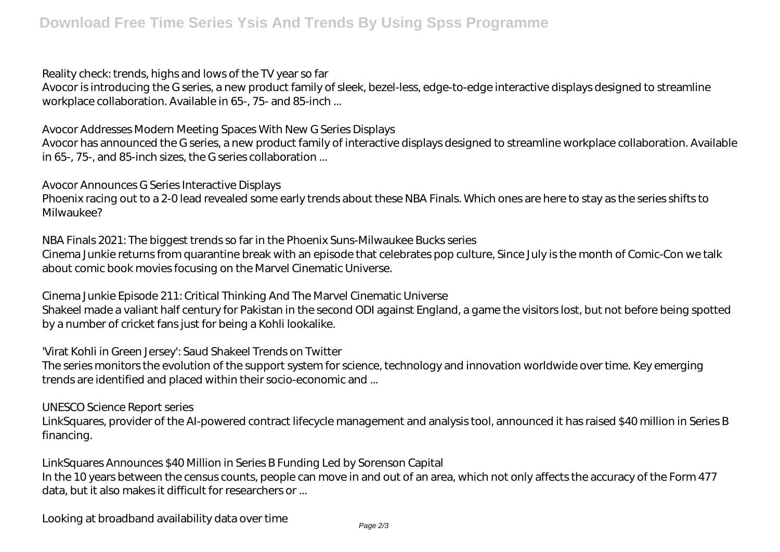#### *Reality check: trends, highs and lows of the TV year so far*

Avocor is introducing the G series, a new product family of sleek, bezel-less, edge-to-edge interactive displays designed to streamline workplace collaboration. Available in 65-, 75- and 85-inch ...

### *Avocor Addresses Modern Meeting Spaces With New G Series Displays*

Avocor has announced the G series, a new product family of interactive displays designed to streamline workplace collaboration. Available in 65-, 75-, and 85-inch sizes, the G series collaboration ...

#### *Avocor Announces G Series Interactive Displays*

Phoenix racing out to a 2-0 lead revealed some early trends about these NBA Finals. Which ones are here to stay as the series shifts to Milwaukee?

## *NBA Finals 2021: The biggest trends so far in the Phoenix Suns-Milwaukee Bucks series*

Cinema Junkie returns from quarantine break with an episode that celebrates pop culture, Since July is the month of Comic-Con we talk about comic book movies focusing on the Marvel Cinematic Universe.

#### *Cinema Junkie Episode 211: Critical Thinking And The Marvel Cinematic Universe*

Shakeel made a valiant half century for Pakistan in the second ODI against England, a game the visitors lost, but not before being spotted by a number of cricket fans just for being a Kohli lookalike.

#### *'Virat Kohli in Green Jersey': Saud Shakeel Trends on Twitter*

The series monitors the evolution of the support system for science, technology and innovation worldwide over time. Key emerging trends are identified and placed within their socio-economic and ...

#### *UNESCO Science Report series*

LinkSquares, provider of the AI-powered contract lifecycle management and analysis tool, announced it has raised \$40 million in Series B financing.

#### *LinkSquares Announces \$40 Million in Series B Funding Led by Sorenson Capital*

In the 10 years between the census counts, people can move in and out of an area, which not only affects the accuracy of the Form 477 data, but it also makes it difficult for researchers or ...

*Looking at broadband availability data over time*